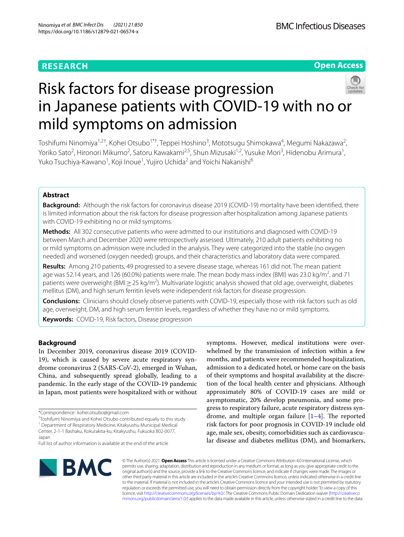## **RESEARCH**

**Open Access**

# Risk factors for disease progression in Japanese patients with COVID-19 with no or mild symptoms on admission

Toshifumi Ninomiya<sup>1,2†</sup>, Kohei Otsubo<sup>1\*†</sup>, Teppei Hoshino<sup>3</sup>, Mototsugu Shimokawa<sup>4</sup>, Megumi Nakazawa<sup>2</sup>, Yoriko Sato<sup>2</sup>, Hironori Mikumo<sup>2</sup>, Satoru Kawakami<sup>2,5</sup>, Shun Mizusaki<sup>1,2</sup>, Yusuke Mori<sup>3</sup>, Hidenobu Arimura<sup>1</sup>, Yuko Tsuchiya-Kawano<sup>1</sup>, Koji Inoue<sup>1</sup>, Yujiro Uchida<sup>2</sup> and Yoichi Nakanishi<sup>6</sup>

## **Abstract**

**Background:** Although the risk factors for coronavirus disease 2019 (COVID-19) mortality have been identifed, there is limited information about the risk factors for disease progression after hospitalization among Japanese patients with COVID-19 exhibiting no or mild symptoms.

**Methods:** All 302 consecutive patients who were admitted to our institutions and diagnosed with COVID-19 between March and December 2020 were retrospectively assessed. Ultimately, 210 adult patients exhibiting no or mild symptoms on admission were included in the analysis. They were categorized into the stable (no oxygen needed) and worsened (oxygen needed) groups, and their characteristics and laboratory data were compared.

**Results:** Among 210 patients, 49 progressed to a severe disease stage, whereas 161 did not. The mean patient age was 52.14 years, and 126 (60.0%) patients were male. The mean body mass index (BMI) was 23.0 kg/m<sup>2</sup>, and 71 patients were overweight (BMI $\geq$  25 kg/m<sup>2</sup>). Multivariate logistic analysis showed that old age, overweight, diabetes mellitus (DM), and high serum ferritin levels were independent risk factors for disease progression.

**Conclusions:** Clinicians should closely observe patients with COVID-19, especially those with risk factors such as old age, overweight, DM, and high serum ferritin levels, regardless of whether they have no or mild symptoms.

**Keywords:** COVID-19, Risk factors, Disease progression

## **Background**

In December 2019, coronavirus disease 2019 (COVID-19), which is caused by severe acute respiratory syndrome coronavirus 2 (SARS-CoV-2), emerged in Wuhan, China, and subsequently spread globally, leading to a pandemic. In the early stage of the COVID-19 pandemic in Japan, most patients were hospitalized with or without

† Toshifumi Ninomiya and Kohei Otsubo contributed equally to this study

symptoms. However, medical institutions were overwhelmed by the transmission of infection within a few months, and patients were recommended hospitalization, admission to a dedicated hotel, or home care on the basis of their symptoms and hospital availability at the discretion of the local health center and physicians. Although approximately 80% of COVID-19 cases are mild or asymptomatic, 20% develop pneumonia, and some progress to respiratory failure, acute respiratory distress syndrome, and multiple organ failure  $[1-4]$  $[1-4]$  $[1-4]$ . The reported risk factors for poor prognosis in COVID-19 include old age, male sex, obesity, comorbidities such as cardiovascular disease and diabetes mellitus (DM), and biomarkers,



© The Author(s) 2021. **Open Access** This article is licensed under a Creative Commons Attribution 4.0 International License, which permits use, sharing, adaptation, distribution and reproduction in any medium or format, as long as you give appropriate credit to the original author(s) and the source, provide a link to the Creative Commons licence, and indicate if changes were made. The images or other third party material in this article are included in the article's Creative Commons licence, unless indicated otherwise in a credit line to the material. If material is not included in the article's Creative Commons licence and your intended use is not permitted by statutory regulation or exceeds the permitted use, you will need to obtain permission directly from the copyright holder. To view a copy of this licence, visit [http://creativecommons.org/licenses/by/4.0/.](http://creativecommons.org/licenses/by/4.0/) The Creative Commons Public Domain Dedication waiver ([http://creativeco](http://creativecommons.org/publicdomain/zero/1.0/) [mmons.org/publicdomain/zero/1.0/](http://creativecommons.org/publicdomain/zero/1.0/)) applies to the data made available in this article, unless otherwise stated in a credit line to the data.

<sup>\*</sup>Correspondence: kohei.otsubo@gmail.com

<sup>&</sup>lt;sup>1</sup> Department of Respiratory Medicine, Kitakyushu Municipal Medical Center, 2‑1‑1 Bashaku, Kokurakita‑ku, Kitakyushu, Fukuoka 802‑0077, Japan

Full list of author information is available at the end of the article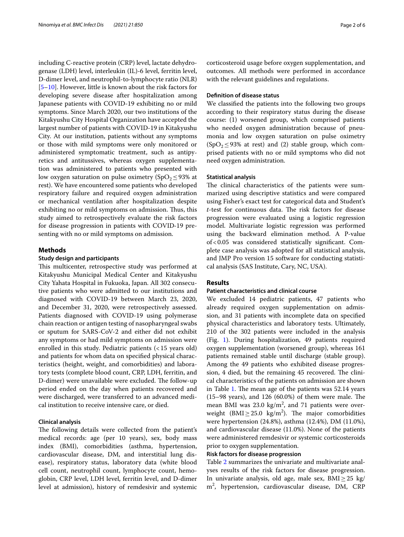including C-reactive protein (CRP) level, lactate dehydrogenase (LDH) level, interleukin (IL)-6 level, ferritin level, D-dimer level, and neutrophil-to-lymphocyte ratio (NLR) [[5–](#page-4-2)[10\]](#page-4-3). However, little is known about the risk factors for developing severe disease after hospitalization among Japanese patients with COVID-19 exhibiting no or mild symptoms. Since March 2020, our two institutions of the Kitakyushu City Hospital Organization have accepted the largest number of patients with COVID-19 in Kitakyushu City. At our institution, patients without any symptoms or those with mild symptoms were only monitored or administered symptomatic treatment, such as antipyretics and antitussives, whereas oxygen supplementation was administered to patients who presented with low oxygen saturation on pulse oximetry (SpO<sub>2</sub> ≤ 93% at rest). We have encountered some patients who developed respiratory failure and required oxygen administration or mechanical ventilation after hospitalization despite exhibiting no or mild symptoms on admission. Thus, this study aimed to retrospectively evaluate the risk factors for disease progression in patients with COVID‐19 presenting with no or mild symptoms on admission.

## **Methods**

## **Study design and participants**

This multicenter, retrospective study was performed at Kitakyushu Municipal Medical Center and Kitakyushu City Yahata Hospital in Fukuoka, Japan. All 302 consecutive patients who were admitted to our institutions and diagnosed with COVID-19 between March 23, 2020, and December 31, 2020, were retrospectively assessed. Patients diagnosed with COVID-19 using polymerase chain reaction or antigen testing of nasopharyngeal swabs or sputum for SARS-CoV-2 and either did not exhibit any symptoms or had mild symptoms on admission were enrolled in this study. Pediatric patients (<15 years old) and patients for whom data on specifed physical characteristics (height, weight, and comorbidities) and laboratory tests (complete blood count, CRP, LDH, ferritin, and D-dimer) were unavailable were excluded. The follow-up period ended on the day when patients recovered and were discharged, were transferred to an advanced medical institution to receive intensive care, or died.

## **Clinical analysis**

The following details were collected from the patient's medical records: age (per 10 years), sex, body mass index (BMI), comorbidities (asthma, hypertension, cardiovascular disease, DM, and interstitial lung disease), respiratory status, laboratory data (white blood cell count, neutrophil count, lymphocyte count, hemoglobin, CRP level, LDH level, ferritin level, and D-dimer level at admission), history of remdesivir and systemic corticosteroid usage before oxygen supplementation, and outcomes. All methods were performed in accordance with the relevant guidelines and regulations.

## **Defnition of disease status**

We classifed the patients into the following two groups according to their respiratory status during the disease course: (1) worsened group, which comprised patients who needed oxygen administration because of pneumonia and low oxygen saturation on pulse oximetry  $(SpO<sub>2</sub>≤93%$  at rest) and (2) stable group, which comprised patients with no or mild symptoms who did not need oxygen administration.

## **Statistical analysis**

The clinical characteristics of the patients were summarized using descriptive statistics and were compared using Fisher's exact test for categorical data and Student's *t*-test for continuous data. The risk factors for disease progression were evaluated using a logistic regression model. Multivariate logistic regression was performed using the backward elimination method. A P-value of<0.05 was considered statistically signifcant. Complete case analysis was adopted for all statistical analysis, and JMP Pro version 15 software for conducting statistical analysis (SAS Institute, Cary, NC, USA).

## **Results**

### **Patient characteristics and clinical course**

We excluded 14 pediatric patients, 47 patients who already required oxygen supplementation on admission, and 31 patients with incomplete data on specifed physical characteristics and laboratory tests. Ultimately, 210 of the 302 patients were included in the analysis (Fig. [1\)](#page-2-0). During hospitalization, 49 patients required oxygen supplementation (worsened group), whereas 161 patients remained stable until discharge (stable group). Among the 49 patients who exhibited disease progression, 4 died, but the remaining 45 recovered. The clinical characteristics of the patients on admission are shown in Table [1.](#page-2-1) The mean age of the patients was 52.14 years  $(15–98 \text{ years})$ , and 126  $(60.0\%)$  of them were male. The mean BMI was  $23.0 \text{ kg/m}^2$ , and 71 patients were overweight (BMI $\geq$ 25.0 kg/m<sup>2</sup>). The major comorbidities were hypertension (24.8%), asthma (12.4%), DM (11.0%), and cardiovascular disease (11.0%). None of the patients were administered remdesivir or systemic corticosteroids prior to oxygen supplementation.

#### **Risk factors for disease progression**

Table [2](#page-3-0) summarizes the univariate and multivariate analyses results of the risk factors for disease progression. In univariate analysis, old age, male sex, BMI≥25 kg/ m2 , hypertension, cardiovascular disease, DM, CRP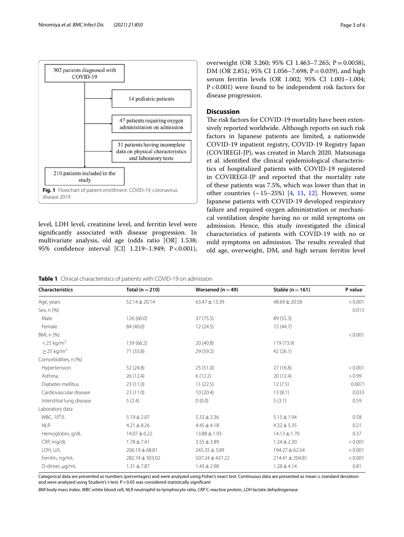

<span id="page-2-0"></span>level, LDH level, creatinine level, and ferritin level were signifcantly associated with disease progression. In multivariate analysis, old age (odds ratio [OR] 1.538; 95% confidence interval [CI] 1.219-1.949; P<0.001), overweight (OR 3.260; 95% CI 1.463–7.265; P=0.0038), DM (OR 2.851; 95% CI 1.056–7.698; P = 0.039), and high serum ferritin levels (OR 1.002; 95% CI 1.001–1.004; P<0.001) were found to be independent risk factors for disease progression.

## **Discussion**

The risk factors for COVID-19 mortality have been extensively reported worldwide. Although reports on such risk factors in Japanese patients are limited, a nationwide COVID-19 inpatient registry, COVID-19 Registry Japan (COVIREGI-JP), was created in March 2020. Matsunaga et al. identifed the clinical epidemiological characteristics of hospitalized patients with COVID-19 registered in COVIREGI-JP and reported that the mortality rate of these patients was 7.5%, which was lower than that in other countries  $(\sim 15-25%)$  [[4,](#page-4-1) [11](#page-5-0), [12\]](#page-5-1). However, some Japanese patients with COVID-19 developed respiratory failure and required oxygen administration or mechanical ventilation despite having no or mild symptoms on admission. Hence, this study investigated the clinical characteristics of patients with COVID-19 with no or mild symptoms on admission. The results revealed that old age, overweight, DM, and high serum ferritin level

<span id="page-2-1"></span>**Table 1** Clinical characteristics of patients with COVID-19 on admission

| <b>Characteristics</b>      | Total ( $n = 210$ ) | Worsened ( $n = 49$ ) | Stable ( $n = 161$ ) | P value |
|-----------------------------|---------------------|-----------------------|----------------------|---------|
| Age, years                  | $52.14 \pm 20.14$   | $63.47 \pm 13.39$     | 48.69 ± 20.58        | < 0.001 |
| Sex, n (%)                  |                     |                       |                      | 0.013   |
| Male                        | 126(60.0)           | 37 (75.5)             | 89 (55.3)            |         |
| Female                      | 84 (40.0)           | 12(24.5)              | 72 (44.7)            |         |
| BMI, n (%)                  |                     |                       |                      | < 0.001 |
| $<$ 25 kg/m <sup>2</sup>    | 139 (66.2)          | 20(40.8)              | 119 (73.9)           |         |
| $\geq$ 25 kg/m <sup>2</sup> | 71 (33.8)           | 29 (59.2)             | 42(26.1)             |         |
| Comorbidities, n (%)        |                     |                       |                      |         |
| Hypertension                | 52 (24.8)           | 25(51.0)              | 27(16.8)             | < 0.001 |
| Asthma                      | 26(12.4)            | 6(12.2)               | 20(12.4)             | > 0.99  |
| Diabetes mellitus           | 23(11.0)            | 11(22.5)              | 12(7.5)              | 0.0071  |
| Cardiovascular disease      | 23(11.0)            | 10(20.4)              | 13(8.1)              | 0.033   |
| Interstitial lung disease   | 5(2.4)              | 0(0.0)                | 5(3.1)               | 0.59    |
| Laboratory data             |                     |                       |                      |         |
| WBC, 10 <sup>9</sup> /L     | $5.19 \pm 2.07$     | $5.33 \pm 2.36$       | $5.15 \pm 1.94$      | 0.58    |
| <b>NLR</b>                  | $4.21 \pm 8.26$     | $4.45 \pm 4.18$       | $4.32 \pm 5.35$      | 0.21    |
| Hemoglobin, g/dL            | $14.07 \pm 6.22$    | $13.88 \pm 1.93$      | $14.13 \pm 1.70$     | 0.37    |
| CRP, mg/dL                  | $1.78 \pm 7.41$     | $3.55 \pm 3.89$       | $1.24 \pm 2.30$      | < 0.001 |
| LDH, U/L                    | $206.19 \pm 68.81$  | $245.35 \pm 3.89$     | 194.27 ± 62.54       | < 0.001 |
| Ferritin, ng/mL             | $282.74 \pm 303.02$ | $507.24 \pm 437.22$   | $214.41 \pm 204.81$  | < 0.001 |
| D-dimer, µg/mL              | $1.31 \pm 7.87$     | $1.43 \pm 2.98$       | $1.28 \pm 4.14$      | 0.81    |

Categorical data are presented as numbers (percentages) and were analyzed using Fisher's exact test. Continuous data are presented as mean±standard deviation and were analyzed using Student's *t*-test. P<0.05 was considered statistically signifcant

*BMI* body mass index, *WBC* white blood cell, *NLR* neutrophil-to-lymphocyte ratio, *CRP* C-reactive protein, *LDH* lactate dehydrogenase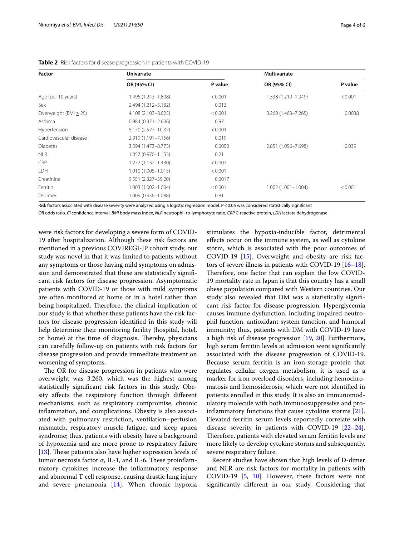| <b>Factor</b>              | <b>Univariate</b>      |         | <b>Multivariate</b>    |         |
|----------------------------|------------------------|---------|------------------------|---------|
|                            | OR (95% CI)            | P value | OR (95% CI)            | P value |
| Age (per 10 years)         | 1.495 (1.243-1.808)    | < 0.001 | 1.538 (1.219-1.949)    | < 0.001 |
| Sex                        | 2.494 (1.212-5.132)    | 0.013   |                        |         |
| Overweight (BMI $\geq$ 25) | 4.108 (2.103-8.025)    | < 0.001 | 3.260 (1.463-7.265)    | 0.0038  |
| Asthma                     | $0.984(0.371 - 2.606)$ | 0.97    |                        |         |
| Hypertension               | 5.170 (2.577-10.37)    | < 0.001 |                        |         |
| Cardiovascular disease     | 2.919 (1.191-7.156)    | 0.019   |                        |         |
| <b>Diabetes</b>            | 3.594 (1.473-8.773)    | 0.0050  | 2.851 (1.056-7.698)    | 0.039   |
| <b>NLR</b>                 | 1.057 (0.970-1.153)    | 0.21    |                        |         |
| <b>CRP</b>                 | 1.272 (1.132-1.430)    | < 0.001 |                        |         |
| LDH                        | $1.010(1.005 - 1.015)$ | < 0.001 |                        |         |
| Creatinine                 | 9.551 (2.327-39.20)    | 0.0017  |                        |         |
| Ferritin                   | 1.003 (1.002-1.004)    | < 0.001 | $1.002(1.001 - 1.004)$ | < 0.001 |
| D-dimer                    | 1.009 (0.936-1.088)    | 0.81    |                        |         |

<span id="page-3-0"></span>**Table 2** Risk factors for disease progression in patients with COVID-19

Risk factors associated with disease severity were analyzed using a logistic regression model. P<0.05 was considered statistically signifcant

*OR* odds ratio, *CI* confdence interval, *BMI* body mass index, *NLR* neutrophil-to-lymphocyte ratio, *CRP* C-reactive protein, *LDH* lactate dehydrogenase

were risk factors for developing a severe form of COVID-19 after hospitalization. Although these risk factors are mentioned in a previous COVIREGI-JP cohort study, our study was novel in that it was limited to patients without any symptoms or those having mild symptoms on admission and demonstrated that these are statistically signifcant risk factors for disease progression. Asymptomatic patients with COVID-19 or those with mild symptoms are often monitored at home or in a hotel rather than being hospitalized. Therefore, the clinical implication of our study is that whether these patients have the risk factors for disease progression identifed in this study will help determine their monitoring facility (hospital, hotel, or home) at the time of diagnosis. Thereby, physicians can carefully follow-up on patients with risk factors for disease progression and provide immediate treatment on worsening of symptoms.

The OR for disease progression in patients who were overweight was 3.260, which was the highest among statistically signifcant risk factors in this study. Obesity afects the respiratory function through diferent mechanisms, such as respiratory compromise, chronic infammation, and complications. Obesity is also associated with pulmonary restriction, ventilation–perfusion mismatch, respiratory muscle fatigue, and sleep apnea syndrome; thus, patients with obesity have a background of hypoxemia and are more prone to respiratory failure [ $13$ ]. These patients also have higher expression levels of tumor necrosis factor  $α$ , IL-1, and IL-6. These proinflammatory cytokines increase the infammatory response and abnormal T cell response, causing drastic lung injury and severe pneumonia [[14\]](#page-5-3). When chronic hypoxia

stimulates the hypoxia-inducible factor, detrimental efects occur on the immune system, as well as cytokine storm, which is associated with the poor outcomes of COVID-19 [\[15](#page-5-4)]. Overweight and obesity are risk factors of severe illness in patients with COVID-19 [[16](#page-5-5)[–18](#page-5-6)]. Therefore, one factor that can explain the low COVID-19 mortality rate in Japan is that this country has a small obese population compared with Western countries. Our study also revealed that DM was a statistically signifcant risk factor for disease progression. Hyperglycemia causes immune dysfunction, including impaired neutrophil function, antioxidant system function, and humoral immunity; thus, patients with DM with COVID-19 have a high risk of disease progression [\[19](#page-5-7), [20](#page-5-8)]. Furthermore, high serum ferritin levels at admission were signifcantly associated with the disease progression of COVID-19. Because serum ferritin is an iron-storage protein that regulates cellular oxygen metabolism, it is used as a marker for iron overload disorders, including hemochromatosis and hemosiderosis, which were not identifed in patients enrolled in this study. It is also an immunomodulatory molecule with both immunosuppressive and proinfammatory functions that cause cytokine storms [\[21](#page-5-9)]. Elevated ferritin serum levels reportedly correlate with disease severity in patients with COVID-19 [[22](#page-5-10)[–24](#page-5-11)]. Therefore, patients with elevated serum ferritin levels are more likely to develop cytokine storms and subsequently, severe respiratory failure.

Recent studies have shown that high levels of D-dimer and NLR are risk factors for mortality in patients with COVID-19 [\[5](#page-4-2), [10](#page-4-3)]. However, these factors were not signifcantly diferent in our study. Considering that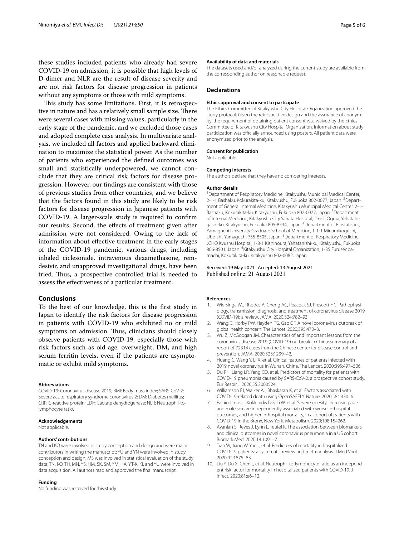these studies included patients who already had severe COVID-19 on admission, it is possible that high levels of D-dimer and NLR are the result of disease severity and are not risk factors for disease progression in patients without any symptoms or those with mild symptoms.

This study has some limitations. First, it is retrospective in nature and has a relatively small sample size. There were several cases with missing values, particularly in the early stage of the pandemic, and we excluded those cases and adopted complete case analysis. In multivariate analysis, we included all factors and applied backward elimination to maximize the statistical power. As the number of patients who experienced the defned outcomes was small and statistically underpowered, we cannot conclude that they are critical risk factors for disease progression. However, our fndings are consistent with those of previous studies from other countries, and we believe that the factors found in this study are likely to be risk factors for disease progression in Japanese patients with COVID-19. A larger-scale study is required to confrm our results. Second, the efects of treatment given after admission were not considered. Owing to the lack of information about efective treatment in the early stages of the COVID-19 pandemic, various drugs, including inhaled ciclesonide, intravenous dexamethasone, remdesivir, and unapproved investigational drugs, have been tried. Thus, a prospective controlled trial is needed to assess the efectiveness of a particular treatment.

#### **Conclusions**

To the best of our knowledge, this is the frst study in Japan to identify the risk factors for disease progression in patients with COVID-19 who exhibited no or mild symptoms on admission. Thus, clinicians should closely observe patients with COVID-19, especially those with risk factors such as old age, overweight, DM, and high serum ferritin levels, even if the patients are asymptomatic or exhibit mild symptoms.

#### **Abbreviations**

COVID-19: Coronavirus disease 2019; BMI: Body mass index; SARS-CoV-2: Severe acute respiratory syndrome coronavirus 2; DM: Diabetes mellitus; CRP: C-reactive protein; LDH: Lactate dehydrogenase; NLR: Neutrophil-tolymphocyte ratio.

#### **Acknowledgements**

Not applicable.

#### **Authors' contributions**

TN and KO were involved in study conception and design and were major contributors in writing the manuscript; YU and YN were involved in study conception and design; MS was involved in statistical evaluation of the study data; TN, KO, TH, MN, YS, HM, SK, SM, YM, HA, YT-K, KI, and YU were involved in data acquisition. All authors read and approved the fnal manuscript.

#### **Funding**

No funding was received for this study.

#### **Availability of data and materials**

The datasets used and/or analyzed during the current study are available from the corresponding author on reasonable request.

#### **Declarations**

#### **Ethics approval and consent to participate**

The Ethics Committee of Kitakyushu City Hospital Organization approved the study protocol. Given the retrospective design and the assurance of anonymity, the requirement of obtaining patient consent was waived by the Ethics Committee of Kitakyushu City Hospital Organization. Information about study participation was officially announced using posters. All patient data were anonymized prior to the analysis.

#### **Consent for publication**

Not applicable.

#### **Competing interests**

The authors declare that they have no competing interests.

#### **Author details**

<sup>1</sup> Department of Respiratory Medicine, Kitakyushu Municipal Medical Center, 2-1-1 Bashaku, Kokurakita-ku, Kitakyushu, Fukuoka 802-0077, Japan. <sup>2</sup>Department of General Internal Medicine, Kitakyushu Municipal Medical Center, 2‑1‑1 Bashaku, Kokurakita-ku, Kitakyushu, Fukuoka 802-0077, Japan. <sup>3</sup>Department of Internal Medicine, Kitakyushu City Yahata Hospital, 2‑6‑2, Ogura, Yahatahi‑ gashi-ku, Kitakyushu, Fukuoka 805-8534, Japan. <sup>4</sup>Department of Biostatistics, Yamaguchi University Graduate School of Medicine, 1‑1‑1 Minamikogushi, Ube-shi, Yamaguchi 755-8505, Japan. <sup>5</sup> Department of Respiratory Medicine, JCHO Kyushu Hospital, 1‑8‑1 Kishinoura, Yahatanishi‑ku, Kitakyushu, Fukuoka 806-8501, Japan. <sup>6</sup>Kitakyushu City Hospital Organization, 1-35 Furusenbamachi, Kokurakita‑ku, Kitakyushu 802‑0082, Japan.

#### Received: 19 May 2021 Accepted: 13 August 2021 Published online: 21 August 2021

#### **References**

- <span id="page-4-0"></span>1. Wiersinga WJ, Rhodes A, Cheng AC, Peacock SJ, Prescott HC. Pathophysiology, transmission, diagnosis, and treatment of coronavirus disease 2019 (COVID-19): a review. JAMA. 2020;324:782–93.
- 2. Wang C, Horby PW, Hayden FG, Gao GF. A novel coronavirus outbreak of global health concern. The Lancet. 2020;395:470–3.
- 3. Wu Z, McGoogan JM. Characteristics of and important lessons from the coronavirus disease 2019 (COVID-19) outbreak in China: summary of a report of 72314 cases from the Chinese center for disease control and prevention. JAMA. 2020;323:1239–42.
- <span id="page-4-1"></span>4. Huang C, Wang Y, Li X, et al. Clinical features of patients infected with 2019 novel coronavirus in Wuhan, China. The Lancet. 2020;395:497–506.
- <span id="page-4-2"></span>5. Du RH, Liang LR, Yang CQ, et al. Predictors of mortality for patients with COVID-19 pneumonia caused by SARS-CoV-2: a prospective cohort study. Eur Respir J. 2020;55:2000524.
- 6. Williamson EJ, Walker AJ, Bhaskaran K, et al. Factors associated with COVID-19-related death using OpenSAFELY. Nature. 2020;584:430–6.
- 7. Palaiodimos L, Kokkinidis DG, Li W, et al. Severe obesity, increasing age and male sex are independently associated with worse in-hospital outcomes, and higher in-hospital mortality, in a cohort of patients with COVID-19 in the Bronx, New York. Metabolism. 2020;108:154262.
- 8. Ayanian S, Reyes J, Lynn L, Teufel K. The association between biomarkers and clinical outcomes in novel coronavirus pneumonia in a US cohort. Biomark Med. 2020;14:1091–7.
- 9. Tian W, Jiang W, Yao J, et al. Predictors of mortality in hospitalized COVID-19 patients: a systematic review and meta-analysis. J Med Virol. 2020;92:1875–83.
- <span id="page-4-3"></span>10. Liu Y, Du X, Chen J, et al. Neutrophil-to-lymphocyte ratio as an independent risk factor for mortality in hospitalized patients with COVID-19. J Infect. 2020;81:e6–12.